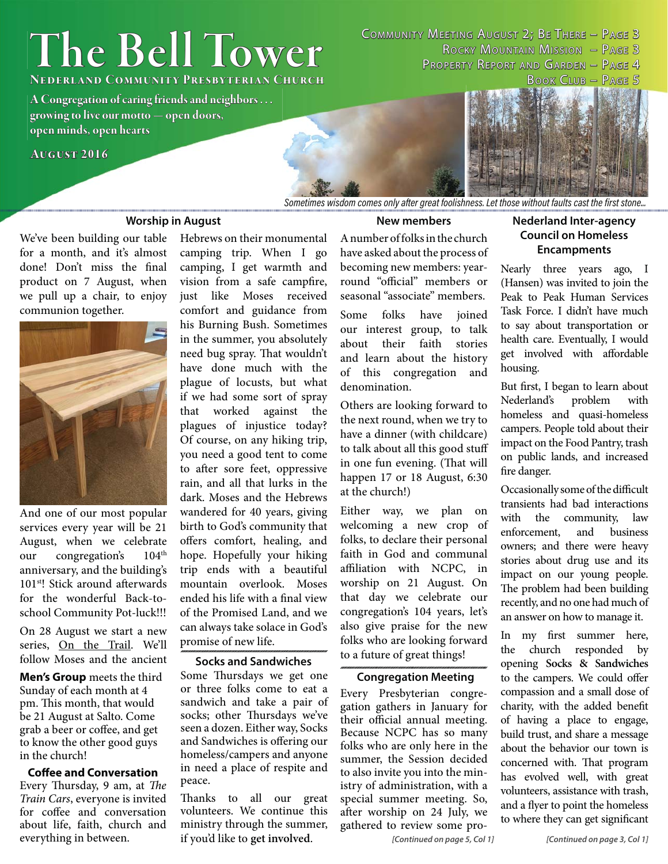# **The Bell Tower he**

COMMUNITY MEETING AUGUST 2; BE THERE - PAGE 3 ROCKY MOUNTAIN MISSION - PAGE 3 PROPERTY REPORT AND GARDEN - PAGE 4

**NEDERLAND COMMUNITY PRESBYTERIAN CHURCH** 

**A Congregation of caring friends and neighbors . . . growing to live our motto — open doors, rowing live**   $open$  minds, open hearts

#### **August 2016 ugust**



*Sometimes wisdom comes only after great foolishness. Let those without faults cast the first stone...* 

#### **Worship in August**

We've been building our table for a month, and it's almost done! Don't miss the final product on 7 August, when we pull up a chair, to enjoy communion together.



And one of our most popular services every year will be 21 August, when we celebrate our congregation's  $104<sup>th</sup>$ anniversary, and the building's 101<sup>st</sup>! Stick around afterwards for the wonderful Back-toschool Community Pot-luck!!!

On 28 August we start a new series, On the Trail. We'll follow Moses and the ancient

**Men's Group** meets the third Sunday of each month at 4 pm. This month, that would be 21 August at Salto. Come grab a beer or coffee, and get to know the other good guys in the church!

#### **Coffee and Conversation** Every Thursday, 9 am, at The Train Cars, everyone is invited for coffee and conversation about life, faith, church and everything in between.

Hebrews on their monumental camping trip. When I go camping, I get warmth and vision from a safe campfire, just like Moses received comfort and guidance from his Burning Bush. Sometimes in the summer, you absolutely need bug spray. That wouldn't have done much with the plague of locusts, but what if we had some sort of spray that worked against the plagues of injustice today? Of course, on any hiking trip, you need a good tent to come to after sore feet, oppressive rain, and all that lurks in the dark. Moses and the Hebrews wandered for 40 years, giving birth to God's community that offers comfort, healing, and hope. Hopefully your hiking trip ends with a beautiful mountain overlook. Moses ended his life with a final view of the Promised Land, and we can always take solace in God's promise of new life.

#### **Socks and Sandwiches**

Some Thursdays we get one or three folks come to eat a sandwich and take a pair of socks; other Thursdays we've seen a dozen. Either way, Socks and Sandwiches is offering our homeless/campers and anyone in need a place of respite and peace.

Thanks to all our great volunteers. We continue this ministry through the summer, if you'd like to **get involved**.

#### **New members**

A number of folks in the church have asked about the process of becoming new members: yearround "official" members or seasonal "associate" members. Some folks have joined

our interest group, to talk about their faith stories and learn about the history of this congregation and denomination.

Others are looking forward to the next round, when we try to have a dinner (with childcare) to talk about all this good stuff in one fun evening. (That will happen 17 or 18 August, 6:30 at the church!)

Either way, we plan on welcoming a new crop of folks, to declare their personal faith in God and communal affiliation with NCPC, in worship on 21 August. On that day we celebrate our congregation's 104 years, let's also give praise for the new folks who are looking forward to a future of great things!

#### **Congregation Meeting**

Every Presbyterian congregation gathers in January for their official annual meeting. Because NCPC has so many folks who are only here in the summer, the Session decided to also invite you into the ministry of administration, with a special summer meeting. So, after worship on 24 July, we gathered to review some pro-

#### *[Continued on page 5, Col 1]*

### **Nederland Inter-agency Council on Homeless Encampments**

Nearly three years ago, I (Hansen) was invited to join the Peak to Peak Human Services Task Force. I didn't have much to say about transportation or health care. Eventually, I would get involved with affordable housing.

But first, I began to learn about Nederland's problem with homeless and quasi-homeless campers. People told about their impact on the Food Pantry, trash on public lands, and increased fire danger.

Occasionally some of the difficult transients had bad interactions with the community, law enforcement, and business owners; and there were heavy stories about drug use and its impact on our young people. The problem had been building recently, and no one had much of an answer on how to manage it.

In my first summer here, the church responded by opening **Socks & Sandwiches** to the campers. We could offer compassion and a small dose of charity, with the added benefit of having a place to engage, build trust, and share a message about the behavior our town is concerned with. That program has evolved well, with great volunteers, assistance with trash, and a flyer to point the homeless to where they can get significant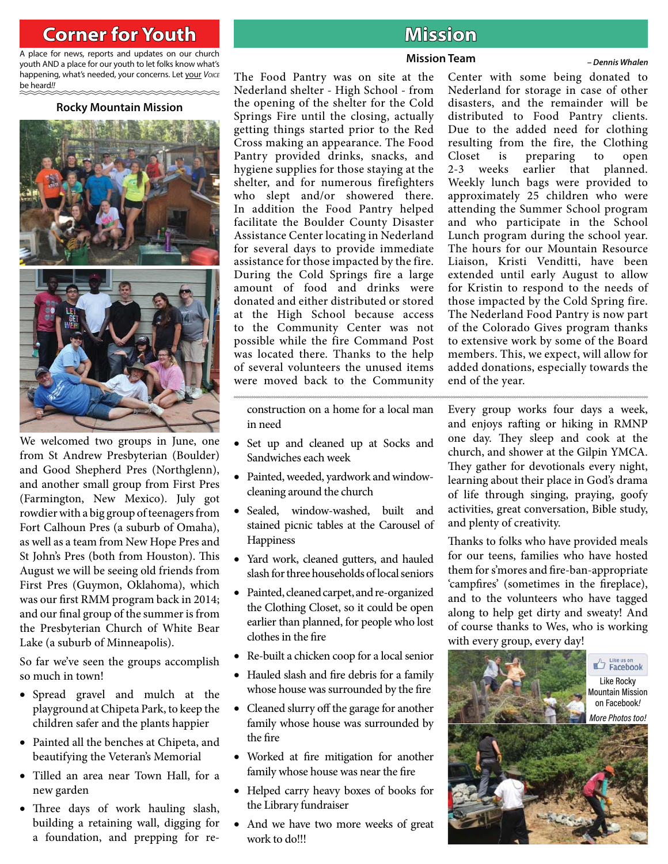## **Corner for Youth original contract of the Mission**

A place for news, reports and updates on our church youth AND a place for our youth to let folks know what's happening, what's needed, your concerns. Let your *Voice* be heard*!!*

#### **Rocky Mountain Mission**



We welcomed two groups in June, one from St Andrew Presbyterian (Boulder) and Good Shepherd Pres (Northglenn), and another small group from First Pres (Farmington, New Mexico). July got rowdier with a big group of teenagers from Fort Calhoun Pres (a suburb of Omaha), as well as a team from New Hope Pres and St John's Pres (both from Houston). This August we will be seeing old friends from First Pres (Guymon, Oklahoma), which was our first RMM program back in 2014; and our final group of the summer is from the Presbyterian Church of White Bear Lake (a suburb of Minneapolis).

So far we've seen the groups accomplish so much in town!

- Spread gravel and mulch at the playground at Chipeta Park, to keep the children safer and the plants happier
- Painted all the benches at Chipeta, and beautifying the Veteran's Memorial
- Tilled an area near Town Hall, for a new garden
- Three days of work hauling slash, building a retaining wall, digging for a foundation, and prepping for re-

#### **Mission Team** *– Dennis Whalen*

The Food Pantry was on site at the Nederland shelter - High School - from the opening of the shelter for the Cold Springs Fire until the closing, actually getting things started prior to the Red Cross making an appearance. The Food Pantry provided drinks, snacks, and hygiene supplies for those staying at the shelter, and for numerous firefighters who slept and/or showered there. In addition the Food Pantry helped facilitate the Boulder County Disaster Assistance Center locating in Nederland for several days to provide immediate assistance for those impacted by the fire. During the Cold Springs fire a large amount of food and drinks were donated and either distributed or stored at the High School because access to the Community Center was not possible while the fire Command Post was located there. Thanks to the help of several volunteers the unused items were moved back to the Community

construction on a home for a local man in need

- Set up and cleaned up at Socks and Sandwiches each week
- Painted, weeded, yardwork and windowcleaning around the church
- Sealed, window-washed, built and stained picnic tables at the Carousel of **Happiness**
- Yard work, cleaned gutters, and hauled slash for three households of local seniors
- Painted, cleaned carpet, and re-organized the Clothing Closet, so it could be open earlier than planned, for people who lost clothes in the fire
- Re-built a chicken coop for a local senior
- Hauled slash and fire debris for a family whose house was surrounded by the fire
- Cleaned slurry off the garage for another family whose house was surrounded by the fire
- Worked at fire mitigation for another family whose house was near the fire
- Helped carry heavy boxes of books for the Library fundraiser
- And we have two more weeks of great work to do!!!

Center with some being donated to Nederland for storage in case of other disasters, and the remainder will be distributed to Food Pantry clients. Due to the added need for clothing resulting from the fire, the Clothing Closet is preparing to open 2-3 weeks earlier that planned. Weekly lunch bags were provided to approximately 25 children who were attending the Summer School program and who participate in the School Lunch program during the school year. The hours for our Mountain Resource Liaison, Kristi Venditti, have been extended until early August to allow for Kristin to respond to the needs of those impacted by the Cold Spring fire. The Nederland Food Pantry is now part of the Colorado Gives program thanks to extensive work by some of the Board members. This, we expect, will allow for added donations, especially towards the end of the year.

Every group works four days a week, and enjoys rafting or hiking in RMNP one day. They sleep and cook at the church, and shower at the Gilpin YMCA. They gather for devotionals every night, learning about their place in God's drama of life through singing, praying, goofy activities, great conversation, Bible study, and plenty of creativity.

Thanks to folks who have provided meals for our teens, families who have hosted them for s'mores and fire-ban-appropriate 'campfires' (sometimes in the fireplace), and to the volunteers who have tagged along to help get dirty and sweaty! And of course thanks to Wes, who is working with every group, every day!

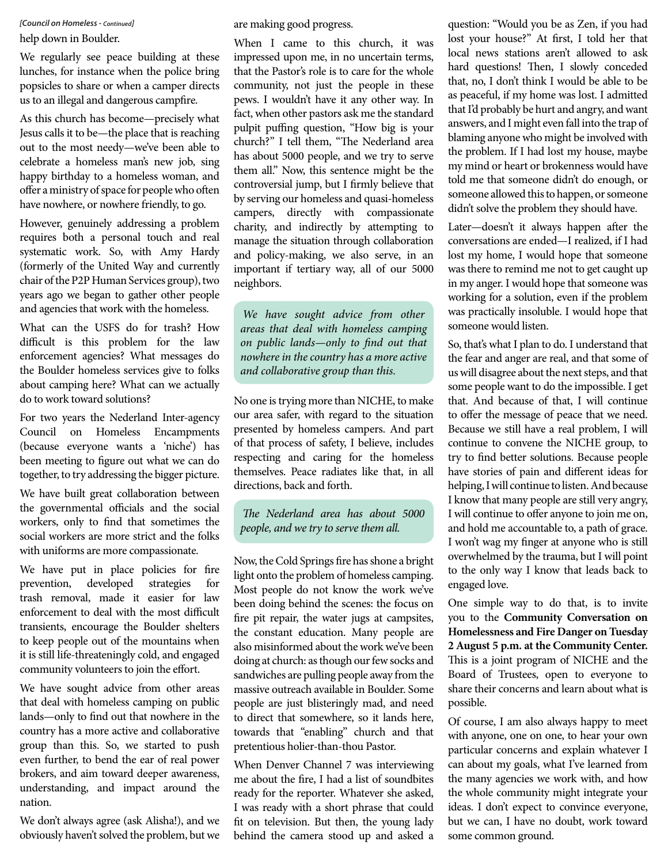*[Council on Homeless - Continued]*

help down in Boulder.

We regularly see peace building at these lunches, for instance when the police bring popsicles to share or when a camper directs us to an illegal and dangerous campfire.

As this church has become—precisely what Jesus calls it to be—the place that is reaching out to the most needy—we've been able to celebrate a homeless man's new job, sing happy birthday to a homeless woman, and offer a ministry of space for people who often have nowhere, or nowhere friendly, to go.

However, genuinely addressing a problem requires both a personal touch and real systematic work. So, with Amy Hardy (formerly of the United Way and currently chair of the P2P Human Services group), two years ago we began to gather other people and agencies that work with the homeless.

What can the USFS do for trash? How difficult is this problem for the law enforcement agencies? What messages do the Boulder homeless services give to folks about camping here? What can we actually do to work toward solutions?

For two years the Nederland Inter-agency Council on Homeless Encampments (because everyone wants a 'niche') has been meeting to figure out what we can do together, to try addressing the bigger picture.

We have built great collaboration between the governmental officials and the social workers, only to find that sometimes the social workers are more strict and the folks with uniforms are more compassionate.

We have put in place policies for fire prevention, developed strategies for trash removal, made it easier for law enforcement to deal with the most difficult transients, encourage the Boulder shelters to keep people out of the mountains when it is still life-threateningly cold, and engaged community volunteers to join the effort.

We have sought advice from other areas that deal with homeless camping on public lands—only to find out that nowhere in the country has a more active and collaborative group than this. So, we started to push even further, to bend the ear of real power brokers, and aim toward deeper awareness, understanding, and impact around the nation.

We don't always agree (ask Alisha!), and we obviously haven't solved the problem, but we are making good progress.

When I came to this church, it was impressed upon me, in no uncertain terms, that the Pastor's role is to care for the whole community, not just the people in these pews. I wouldn't have it any other way. In fact, when other pastors ask me the standard pulpit puffing question, "How big is your church?" I tell them, "The Nederland area has about 5000 people, and we try to serve them all." Now, this sentence might be the controversial jump, but I firmly believe that by serving our homeless and quasi-homeless campers, directly with compassionate charity, and indirectly by attempting to manage the situation through collaboration and policy-making, we also serve, in an important if tertiary way, all of our 5000 neighbors.

We have sought advice from other areas that deal with homeless camping on public lands—only to find out that nowhere in the country has a more active and collaborative group than this.

No one is trying more than NICHE, to make our area safer, with regard to the situation presented by homeless campers. And part of that process of safety, I believe, includes respecting and caring for the homeless themselves. Peace radiates like that, in all directions, back and forth.

The Nederland area has about 5000 people, and we try to serve them all.

Now, the Cold Springs fire has shone a bright light onto the problem of homeless camping. Most people do not know the work we've been doing behind the scenes: the focus on fire pit repair, the water jugs at campsites, the constant education. Many people are also misinformed about the work we've been doing at church: as though our few socks and sandwiches are pulling people away from the massive outreach available in Boulder. Some people are just blisteringly mad, and need to direct that somewhere, so it lands here, towards that "enabling" church and that pretentious holier-than-thou Pastor.

When Denver Channel 7 was interviewing me about the fire, I had a list of soundbites ready for the reporter. Whatever she asked, I was ready with a short phrase that could fit on television. But then, the young lady behind the camera stood up and asked a question: "Would you be as Zen, if you had lost your house?" At first, I told her that local news stations aren't allowed to ask hard questions! Then, I slowly conceded that, no, I don't think I would be able to be as peaceful, if my home was lost. I admitted that I'd probably be hurt and angry, and want answers, and I might even fall into the trap of blaming anyone who might be involved with the problem. If I had lost my house, maybe my mind or heart or brokenness would have told me that someone didn't do enough, or someone allowed this to happen, or someone didn't solve the problem they should have.

Later-doesn't it always happen after the conversations are ended—I realized, if I had lost my home, I would hope that someone was there to remind me not to get caught up in my anger. I would hope that someone was working for a solution, even if the problem was practically insoluble. I would hope that someone would listen.

So, that's what I plan to do. I understand that the fear and anger are real, and that some of us will disagree about the next steps, and that some people want to do the impossible. I get that. And because of that, I will continue to offer the message of peace that we need. Because we still have a real problem, I will continue to convene the NICHE group, to try to find better solutions. Because people have stories of pain and different ideas for helping, I will continue to listen. And because I know that many people are still very angry, I will continue to offer anyone to join me on, and hold me accountable to, a path of grace. I won't wag my finger at anyone who is still overwhelmed by the trauma, but I will point to the only way I know that leads back to engaged love.

One simple way to do that, is to invite you to the **Community Conversation on Homelessness and Fire Danger on Tuesday 2 August 5 p.m. at the Community Center.** This is a joint program of NICHE and the Board of Trustees, open to everyone to share their concerns and learn about what is possible.

Of course, I am also always happy to meet with anyone, one on one, to hear your own particular concerns and explain whatever I can about my goals, what I've learned from the many agencies we work with, and how the whole community might integrate your ideas. I don't expect to convince everyone, but we can, I have no doubt, work toward some common ground.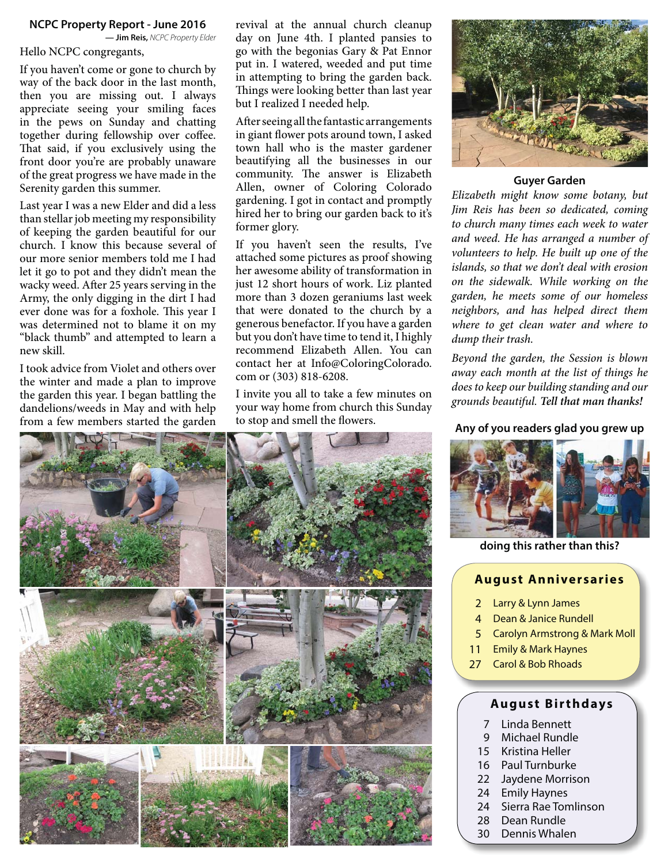#### **NCPC Property Report - June 2016**

**— Jim Reis,** *NCPC Property Elder*

#### Hello NCPC congregants,

If you haven't come or gone to church by way of the back door in the last month, then you are missing out. I always appreciate seeing your smiling faces in the pews on Sunday and chatting together during fellowship over coffee. That said, if you exclusively using the front door you're are probably unaware of the great progress we have made in the Serenity garden this summer.

Last year I was a new Elder and did a less than stellar job meeting my responsibility of keeping the garden beautiful for our church. I know this because several of our more senior members told me I had let it go to pot and they didn't mean the wacky weed. After 25 years serving in the Army, the only digging in the dirt I had ever done was for a foxhole. This year I was determined not to blame it on my "black thumb" and attempted to learn a new skill.

I took advice from Violet and others over the winter and made a plan to improve the garden this year. I began battling the dandelions/weeds in May and with help from a few members started the garden

revival at the annual church cleanup day on June 4th. I planted pansies to go with the begonias Gary & Pat Ennor put in. I watered, weeded and put time in attempting to bring the garden back. Things were looking better than last year but I realized I needed help.

After seeing all the fantastic arrangements in giant flower pots around town, I asked town hall who is the master gardener beautifying all the businesses in our community. The answer is Elizabeth Allen, owner of Coloring Colorado gardening. I got in contact and promptly hired her to bring our garden back to it's former glory.

If you haven't seen the results, I've attached some pictures as proof showing her awesome ability of transformation in just 12 short hours of work. Liz planted more than 3 dozen geraniums last week that were donated to the church by a generous benefactor. If you have a garden but you don't have time to tend it, I highly recommend Elizabeth Allen. You can contact her at Info@ColoringColorado. com or (303) 818-6208.

I invite you all to take a few minutes on your way home from church this Sunday to stop and smell the flowers.<br>**Any of you readers glad you grew up** 



#### **Guyer Garden**

Elizabeth might know some botany, but Jim Reis has been so dedicated, coming to church many times each week to water and weed. He has arranged a number of volunteers to help. He built up one of the islands, so that we don't deal with erosion on the sidewalk. While working on the garden, he meets some of our homeless neighbors, and has helped direct them where to get clean water and where to dump their trash.

Beyond the garden, the Session is blown away each month at the list of things he does to keep our building standing and our grounds beautiful. *Tell that man thanks!*





**doing this rather than this?**

#### **August Anniversaries**

- 2 Larry & Lynn James
- 4 Dean & Janice Rundell
- 5 Carolyn Armstrong & Mark Moll
- 11 Emily & Mark Haynes
- 27 Carol & Bob Rhoads

#### **August Birthdays**

- 7 Linda Bennett
- 9 Michael Rundle
- 15 Kristina Heller
- 16 Paul Turnburke
- 22 Jaydene Morrison
- 24 Emily Haynes
- 24 Sierra Rae Tomlinson
- 28 Dean Rundle
- 30 Dennis Whalen